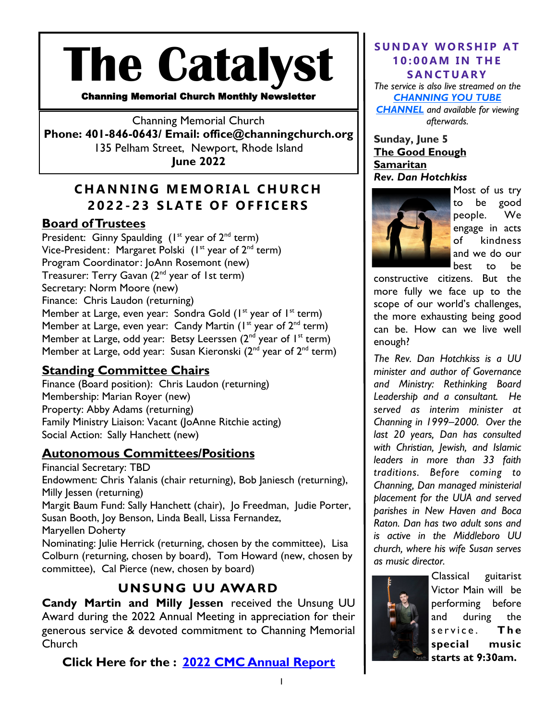# **The Catalyst**

Channing Memorial Church Monthly Newsletter

Channing Memorial Church **Phone: 401-846-0643/ Email: office@channingchurch.org**  135 Pelham Street, Newport, Rhode Island **June 2022**

# **C H A N N I N G M E M O R I A L C H U R C H 2022 - 2 3 S L A T E O F O F F I C E R S**

## **Board of Trustees**

President: Ginny Spaulding  $(I<sup>st</sup>$  year of  $2<sup>nd</sup>$  term) Vice-President: Margaret Polski  $(I^{\text{st}})$  year of  $2^{\text{nd}}$  term) Program Coordinator: JoAnn Rosemont (new) Treasurer: Terry Gavan (2nd year of 1st term) Secretary: Norm Moore (new) Finance: Chris Laudon (returning) Member at Large, even year: Sondra Gold  $(I^{\text{st}}$  year of  $I^{\text{st}}$  term) Member at Large, even year: Candy Martin  $(I^{st}$  year of  $2^{nd}$  term) Member at Large, odd year: Betsy Leerssen  $(2^{nd}$  year of  $1^{st}$  term) Member at Large, odd year: Susan Kieronski  $(2^{nd}$  year of  $2^{nd}$  term)

## **Standing Committee Chairs**

Finance (Board position): Chris Laudon (returning) Membership: Marian Royer (new) Property: Abby Adams (returning) Family Ministry Liaison: Vacant (JoAnne Ritchie acting) Social Action: Sally Hanchett (new)

## **Autonomous Committees/Positions**

Financial Secretary: TBD Endowment: Chris Yalanis (chair returning), Bob Janiesch (returning), Milly Jessen (returning) Margit Baum Fund: Sally Hanchett (chair), Jo Freedman, Judie Porter, Susan Booth, Joy Benson, Linda Beall, Lissa Fernandez, Maryellen Doherty Nominating: Julie Herrick (returning, chosen by the committee), Lisa Colburn (returning, chosen by board), Tom Howard (new, chosen by committee), Cal Pierce (new, chosen by board)

# **UNSUNG UU AWARD**

**Candy Martin and Milly Jessen** received the Unsung UU Award during the 2022 Annual Meeting in appreciation for their generous service & devoted commitment to Channing Memorial Church

**Click Here for the : [2022 CMC Annual Report](https://channingchurch.org/wp-content/uploads/2022/05/Annual-Report-2022-.pdf)**

#### **SUNDAY WORSHIP AT 1 0 : 0 0 A M I N T H E S A N C T U A R Y**

*The service is also live streamed on the [CHANNING YOU TUBE](https://www.youtube.com/c/ChanningMemorialChurch)  [CHANNEL](https://www.youtube.com/c/ChanningMemorialChurch) and available for viewing afterwards.* 

**Sunday, June 5 The Good Enough Samaritan**  *Rev. Dan Hotchkiss*



Most of us try to be good people. We engage in acts of kindness and we do our best to be

constructive citizens. But the more fully we face up to the scope of our world's challenges, the more exhausting being good can be. How can we live well enough?

*The Rev. Dan Hotchkiss is a UU minister and author of Governance and Ministry: Rethinking Board Leadership and a consultant. He served as interim minister at Channing in 1999–2000. Over the last 20 years, Dan has consulted with Christian, Jewish, and Islamic leaders in more than 33 faith traditions. Before coming to Channing, Dan managed ministerial placement for the UUA and served parishes in New Haven and Boca Raton. Dan has two adult sons and is active in the Middleboro UU church, where his wife Susan serves as music director.*



Classical guitarist Victor Main will be performing before and during the service. The **special music starts at 9:30am.**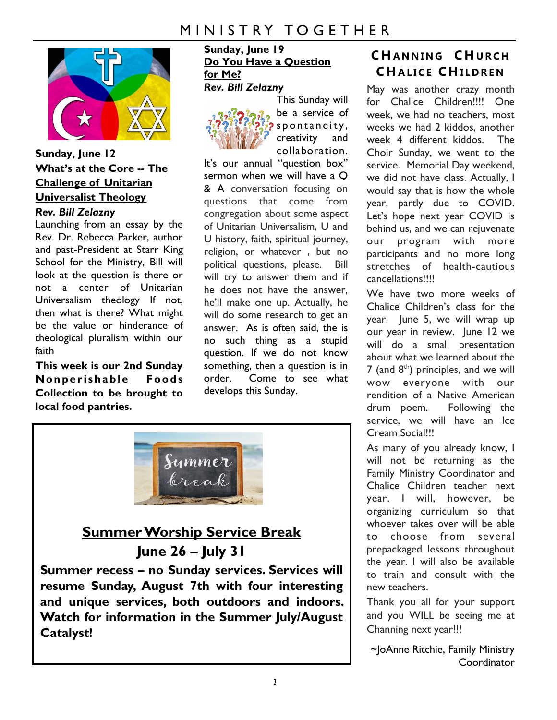

## **Sunday, June 12 What's at the Core -- The Challenge of Unitarian Universalist Theology** *Rev. Bill Zelazny*

Launching from an essay by the Rev. Dr. Rebecca Parker, author and past-President at Starr King School for the Ministry, Bill will look at the question is there or not a center of Unitarian Universalism theology If not, then what is there? What might be the value or hinderance of theological pluralism within our faith

**This week is our 2nd Sunday Nonperishable Foods Collection to be brought to local food pantries.** 

#### **Sunday, June 19 Do You Have a Question for Me?**  *Rev. Bill Zelazny*



This Sunday will be a service of s p o n t a n e i t y, creativity and collaboration.

It's our annual "question box" sermon when we will have a Q & A conversation focusing on questions that come from congregation about some aspect of Unitarian Universalism, U and U history, faith, spiritual journey, religion, or whatever , but no political questions, please. Bill will try to answer them and if he does not have the answer, he'll make one up. Actually, he will do some research to get an answer. As is often said, the is no such thing as a stupid question. If we do not know something, then a question is in order. Come to see what develops this Sunday.



# **Summer Worship Service Break June 26 – July 31**

**Summer recess – no Sunday services. Services will resume Sunday, August 7th with four interesting and unique services, both outdoors and indoors. Watch for information in the Summer July/August Catalyst!**

# **C H A N N I N G C H U R C H C H A L I C E C H I L D R E N**

May was another crazy month for Chalice Children!!!! One week, we had no teachers, most weeks we had 2 kiddos, another week 4 different kiddos. The Choir Sunday, we went to the service. Memorial Day weekend, we did not have class. Actually, I would say that is how the whole year, partly due to COVID. Let's hope next year COVID is behind us, and we can rejuvenate our program with more participants and no more long stretches of health-cautious cancellations!!!!

We have two more weeks of Chalice Children's class for the year. June 5, we will wrap up our year in review. June 12 we will do a small presentation about what we learned about the  $7$  (and  $8<sup>th</sup>$ ) principles, and we will wow everyone with our rendition of a Native American drum poem. Following the service, we will have an Ice Cream Social!!!

As many of you already know, I will not be returning as the Family Ministry Coordinator and Chalice Children teacher next year. I will, however, be organizing curriculum so that whoever takes over will be able to choose from several prepackaged lessons throughout the year. I will also be available to train and consult with the new teachers.

Thank you all for your support and you WILL be seeing me at Channing next year!!!

~JoAnne Ritchie, Family Ministry **Coordinator**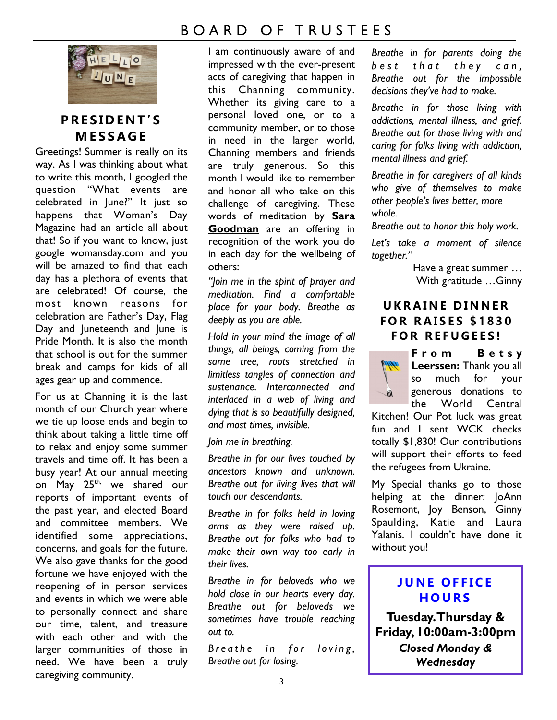# B O A R D O F T R U S T E E S



# **P R E S I D E N T ' S M E S S A G E**

Greetings! Summer is really on its way. As I was thinking about what to write this month, I googled the question "What events are celebrated in June?" It just so happens that Woman's Day Magazine had an article all about that! So if you want to know, just google womansday.com and you will be amazed to find that each day has a plethora of events that are celebrated! Of course, the most known reasons for celebration are Father's Day, Flag Day and Juneteenth and June is Pride Month. It is also the month that school is out for the summer break and camps for kids of all ages gear up and commence.

For us at Channing it is the last month of our Church year where we tie up loose ends and begin to think about taking a little time off to relax and enjoy some summer travels and time off. It has been a busy year! At our annual meeting on May 25<sup>th,</sup> we shared our reports of important events of the past year, and elected Board and committee members. We identified some appreciations, concerns, and goals for the future. We also gave thanks for the good fortune we have enjoyed with the reopening of in person services and events in which we were able to personally connect and share our time, talent, and treasure with each other and with the larger communities of those in need. We have been a truly caregiving community.

I am continuously aware of and impressed with the ever-present acts of caregiving that happen in this Channing community. Whether its giving care to a personal loved one, or to a community member, or to those in need in the larger world, Channing members and friends are truly generous. So this month I would like to remember and honor all who take on this challenge of caregiving. These words of meditation by **Sara Goodman** are an offering in recognition of the work you do in each day for the wellbeing of others:

*"Join me in the spirit of prayer and meditation. Find a comfortable place for your body. Breathe as deeply as you are able.*

*Hold in your mind the image of all things, all beings, coming from the same tree, roots stretched in limitless tangles of connection and sustenance. Interconnected and interlaced in a web of living and dying that is so beautifully designed, and most times, invisible.*

*Join me in breathing.*

*Breathe in for our lives touched by ancestors known and unknown. Breathe out for living lives that will touch our descendants.*

*Breathe in for folks held in loving arms as they were raised up. Breathe out for folks who had to make their own way too early in their lives.*

*Breathe in for beloveds who we hold close in our hearts every day. Breathe out for beloveds we sometimes have trouble reaching out to.*

*B* reathe in for loving, *Breathe out for losing.*

*Breathe in for parents doing the best that they can. Breathe out for the impossible decisions they've had to make.*

*Breathe in for those living with addictions, mental illness, and grief. Breathe out for those living with and caring for folks living with addiction, mental illness and grief.*

*Breathe in for caregivers of all kinds who give of themselves to make other people's lives better, more whole.*

*Breathe out to honor this holy work.*

*Let's take a moment of silence together."*

> Have a great summer … With gratitude …Ginny

## UKRAINE DINNER **F O R R A I S E S \$ 1 8 3 0 F O R R E F U G E E S !**

**F r o m B e t s y Leerssen:** Thank you all so much for your generous donations to the World Central

Kitchen! Our Pot luck was great fun and I sent WCK checks totally \$1,830! Our contributions will support their efforts to feed the refugees from Ukraine.

My Special thanks go to those helping at the dinner: JoAnn Rosemont, Joy Benson, Ginny Spaulding, Katie and Laura Yalanis. I couldn't have done it without you!

## **J U N E O F F I C E H O U R S**

**Tuesday. Thursday & Friday, 10:00am-3:00pm** *Closed Monday & Wednesday*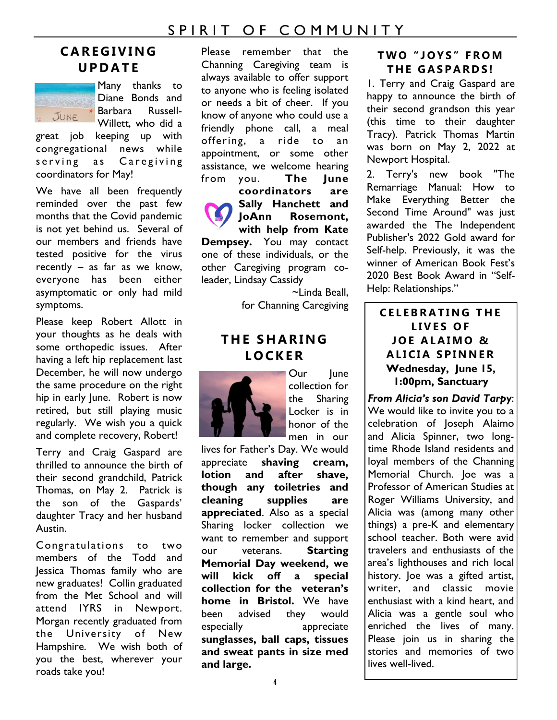# SPIRIT OF COMMUNITY

# **C A R E G I V I N G U P D A T E**



Many thanks to Diane Bonds and Diane Borrow ...<br>Barbara Russell-Willett, who did a

great job keeping up with congregational news while serving as Caregiving coordinators for May!

We have all been frequently reminded over the past few months that the Covid pandemic is not yet behind us. Several of our members and friends have tested positive for the virus recently – as far as we know, everyone has been either asymptomatic or only had mild symptoms.

Please keep Robert Allott in your thoughts as he deals with some orthopedic issues. After having a left hip replacement last December, he will now undergo the same procedure on the right hip in early lune. Robert is now retired, but still playing music regularly. We wish you a quick and complete recovery, Robert!

Terry and Craig Gaspard are thrilled to announce the birth of their second grandchild, Patrick Thomas, on May 2. Patrick is the son of the Gaspards' daughter Tracy and her husband Austin.

Congratulations to two members of the Todd and Jessica Thomas family who are new graduates! Collin graduated from the Met School and will attend IYRS in Newport. Morgan recently graduated from the University of New Hampshire. We wish both of you the best, wherever your roads take you!

Please remember that the Channing Caregiving team is always available to offer support to anyone who is feeling isolated or needs a bit of cheer. If you know of anyone who could use a friendly phone call, a meal offering, a ride to an appointment, or some other assistance, we welcome hearing from you. **The June** 

**coordinators are Sally Hanchett and JoAnn Rosemont, with help from Kate Dempsey.** You may contact one of these individuals, or the other Caregiving program coleader, Lindsay Cassidy

> ~Linda Beall, for Channing Caregiving

### **T H E S H A R I N G L O C K E R**



Our June collection for the Sharing Locker is in honor of the men in our

lives for Father's Day. We would appreciate **shaving cream, lotion and after shave, though any toiletries and cleaning supplies are appreciated**. Also as a special Sharing locker collection we want to remember and support our veterans. **Starting Memorial Day weekend, we will kick off a special collection for the veteran's home in Bristol.** We have been advised they would especially appreciate **sunglasses, ball caps, tissues and sweat pants in size med and large.** 

#### **T W O " J O Y S " F R O M T H E G A S P A R D S !**

1. Terry and Craig Gaspard are happy to announce the birth of their second grandson this year (this time to their daughter Tracy). Patrick Thomas Martin was born on May 2, 2022 at Newport Hospital.

2. Terry's new book "The Remarriage Manual: How to Make Everything Better the Second Time Around" was just awarded the The Independent Publisher's 2022 Gold award for Self-help. Previously, it was the winner of American Book Fest's 2020 Best Book Award in "Self-Help: Relationships."

### **C E L E B R A T I N G T H E**  LIVES OF **J O E A L A I M O & A L I C I A S P I N N E R Wednesday, June 15, 1:00pm, Sanctuary**

*From Alicia's son David Tarpy*: We would like to invite you to a celebration of Joseph Alaimo and Alicia Spinner, two longtime Rhode Island residents and loyal members of the Channing Memorial Church. Joe was a Professor of American Studies at Roger Williams University, and Alicia was (among many other things) a pre-K and elementary school teacher. Both were avid travelers and enthusiasts of the area's lighthouses and rich local history. Joe was a gifted artist, writer, and classic movie enthusiast with a kind heart, and Alicia was a gentle soul who enriched the lives of many. Please join us in sharing the stories and memories of two lives well-lived.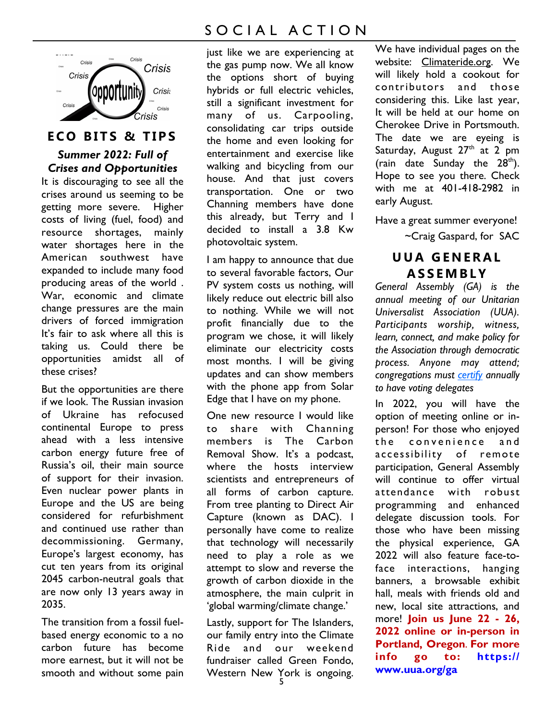

## **ECO BITS & TIPS**

#### *Summer 2022: Full of Crises and Opportunities*

It is discouraging to see all the crises around us seeming to be getting more severe. Higher costs of living (fuel, food) and resource shortages, mainly water shortages here in the American southwest have expanded to include many food producing areas of the world . War, economic and climate change pressures are the main drivers of forced immigration It's fair to ask where all this is taking us. Could there be opportunities amidst all of these crises?

But the opportunities are there if we look. The Russian invasion of Ukraine has refocused continental Europe to press ahead with a less intensive carbon energy future free of Russia's oil, their main source of support for their invasion. Even nuclear power plants in Europe and the US are being considered for refurbishment and continued use rather than decommissioning. Germany, Europe's largest economy, has cut ten years from its original 2045 carbon-neutral goals that are now only 13 years away in 2035.

The transition from a fossil fuelbased energy economic to a no carbon future has become more earnest, but it will not be smooth and without some pain

# SOCIAL ACTION

just like we are experiencing at the gas pump now. We all know the options short of buying hybrids or full electric vehicles, still a significant investment for many of us. Carpooling, consolidating car trips outside the home and even looking for entertainment and exercise like walking and bicycling from our house. And that just covers transportation. One or two Channing members have done this already, but Terry and I decided to install a 3.8 Kw photovoltaic system.

I am happy to announce that due to several favorable factors, Our PV system costs us nothing, will likely reduce out electric bill also to nothing. While we will not profit financially due to the program we chose, it will likely eliminate our electricity costs most months. I will be giving updates and can show members with the phone app from Solar Edge that I have on my phone.

One new resource I would like to share with Channing members is The Carbon Removal Show. It's a podcast, where the hosts interview scientists and entrepreneurs of all forms of carbon capture. From tree planting to Direct Air Capture (known as DAC). I personally have come to realize that technology will necessarily need to play a role as we attempt to slow and reverse the growth of carbon dioxide in the atmosphere, the main culprit in 'global warming/climate change.'

Lastly, support for The Islanders, our family entry into the Climate Ride and our weekend fundraiser called Green Fondo, Western New York is ongoing.

We have individual pages on the website: Climateride.org. We will likely hold a cookout for contributors and those considering this. Like last year, It will be held at our home on Cherokee Drive in Portsmouth. The date we are eyeing is Saturday, August 27<sup>th</sup> at 2 pm (rain date Sunday the  $28<sup>th</sup>$ ). Hope to see you there. Check with me at 401-418-2982 in early August.

Have a great summer everyone!

~Craig Gaspard, for SAC

## **U U A G E N E R A L A S S E M B L Y**

*General Assembly (GA) is the annual meeting of our Unitarian Universalist Association (UUA). Participants worship, witness, learn, connect, and make policy for the Association through democratic process. Anyone may attend; congregations must [certify](https://www.uua.org/ga/congregations/12848.shtml) annually to have voting delegates* 

In 2022, you will have the option of meeting online or inperson! For those who enjoyed the convenience and accessibility of remote participation, General Assembly will continue to offer virtual attendance with robust programming and enhanced delegate discussion tools. For those who have been missing the physical experience, GA 2022 will also feature face-toface interactions, hanging banners, a browsable exhibit hall, meals with friends old and new, local site attractions, and more! **Join us June 22 - 26, 2022 online or in-person in Portland, Oregon**. **For more info go to: https:// www.uua.org/ga**

5